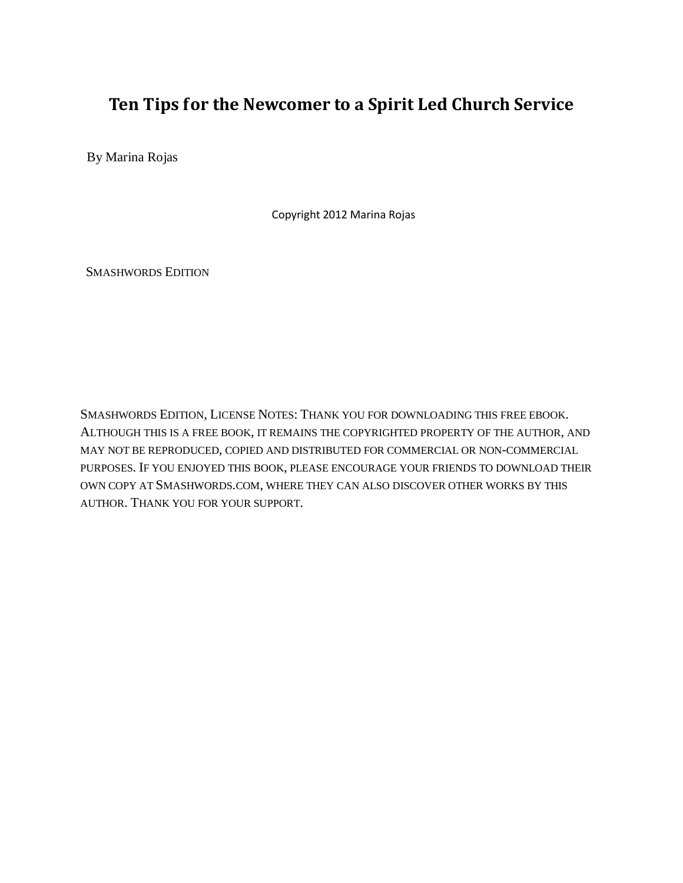## **Ten Tips for the Newcomer to a Spirit Led Church Service**

By Marina Rojas

Copyright 2012 Marina Rojas

SMASHWORDS EDITION

SMASHWORDS EDITION, LICENSE NOTES: THANK YOU FOR DOWNLOADING THIS FREE EBOOK. ALTHOUGH THIS IS A FREE BOOK, IT REMAINS THE COPYRIGHTED PROPERTY OF THE AUTHOR, AND MAY NOT BE REPRODUCED, COPIED AND DISTRIBUTED FOR COMMERCIAL OR NON-COMMERCIAL PURPOSES. IF YOU ENJOYED THIS BOOK, PLEASE ENCOURAGE YOUR FRIENDS TO DOWNLOAD THEIR OWN COPY AT SMASHWORDS.COM, WHERE THEY CAN ALSO DISCOVER OTHER WORKS BY THIS AUTHOR. THANK YOU FOR YOUR SUPPORT.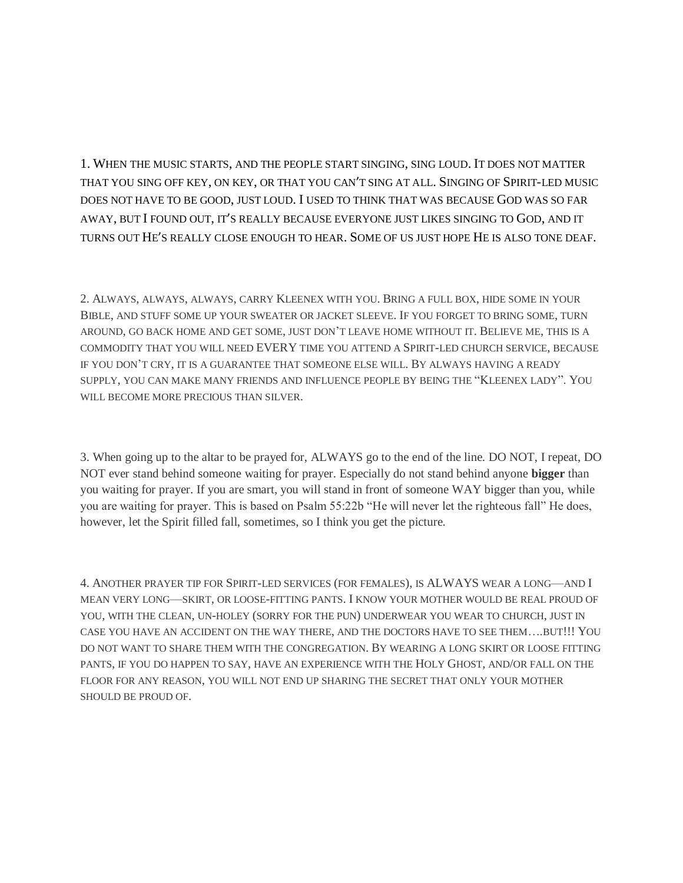1. WHEN THE MUSIC STARTS, AND THE PEOPLE START SINGING, SING LOUD. IT DOES NOT MATTER THAT YOU SING OFF KEY, ON KEY, OR THAT YOU CAN'T SING AT ALL. SINGING OF SPIRIT-LED MUSIC DOES NOT HAVE TO BE GOOD, JUST LOUD. I USED TO THINK THAT WAS BECAUSE GOD WAS SO FAR AWAY, BUT I FOUND OUT, IT'S REALLY BECAUSE EVERYONE JUST LIKES SINGING TO GOD, AND IT TURNS OUT HE'S REALLY CLOSE ENOUGH TO HEAR. SOME OF US JUST HOPE HE IS ALSO TONE DEAF.

2. ALWAYS, ALWAYS, ALWAYS, CARRY KLEENEX WITH YOU. BRING A FULL BOX, HIDE SOME IN YOUR BIBLE, AND STUFF SOME UP YOUR SWEATER OR JACKET SLEEVE. IF YOU FORGET TO BRING SOME, TURN AROUND, GO BACK HOME AND GET SOME, JUST DON'T LEAVE HOME WITHOUT IT. BELIEVE ME, THIS IS A COMMODITY THAT YOU WILL NEED EVERY TIME YOU ATTEND A SPIRIT-LED CHURCH SERVICE, BECAUSE IF YOU DON'T CRY, IT IS A GUARANTEE THAT SOMEONE ELSE WILL. BY ALWAYS HAVING A READY SUPPLY, YOU CAN MAKE MANY FRIENDS AND INFLUENCE PEOPLE BY BEING THE "KLEENEX LADY". YOU WILL BECOME MORE PRECIOUS THAN SILVER.

3. When going up to the altar to be prayed for, ALWAYS go to the end of the line. DO NOT, I repeat, DO NOT ever stand behind someone waiting for prayer. Especially do not stand behind anyone **bigger** than you waiting for prayer. If you are smart, you will stand in front of someone WAY bigger than you, while you are waiting for prayer. This is based on Psalm 55:22b "He will never let the righteous fall" He does, however, let the Spirit filled fall, sometimes, so I think you get the picture.

4. ANOTHER PRAYER TIP FOR SPIRIT-LED SERVICES (FOR FEMALES), IS ALWAYS WEAR A LONG—AND I MEAN VERY LONG—SKIRT, OR LOOSE-FITTING PANTS. I KNOW YOUR MOTHER WOULD BE REAL PROUD OF YOU, WITH THE CLEAN, UN-HOLEY (SORRY FOR THE PUN) UNDERWEAR YOU WEAR TO CHURCH, JUST IN CASE YOU HAVE AN ACCIDENT ON THE WAY THERE, AND THE DOCTORS HAVE TO SEE THEM….BUT!!! YOU DO NOT WANT TO SHARE THEM WITH THE CONGREGATION. BY WEARING A LONG SKIRT OR LOOSE FITTING PANTS, IF YOU DO HAPPEN TO SAY, HAVE AN EXPERIENCE WITH THE HOLY GHOST, AND/OR FALL ON THE FLOOR FOR ANY REASON, YOU WILL NOT END UP SHARING THE SECRET THAT ONLY YOUR MOTHER SHOULD BE PROUD OF.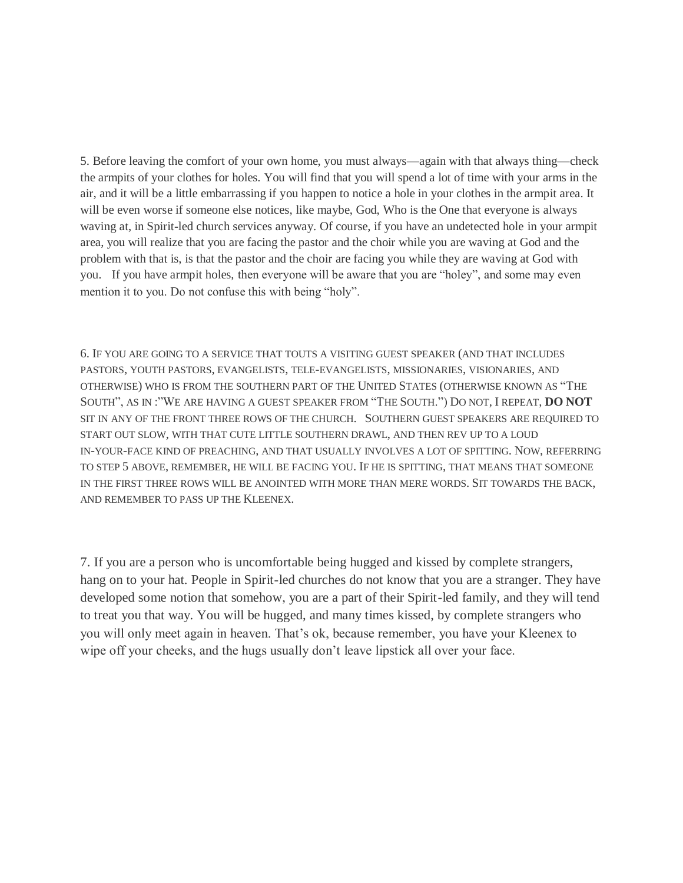5. Before leaving the comfort of your own home, you must always—again with that always thing—check the armpits of your clothes for holes. You will find that you will spend a lot of time with your arms in the air, and it will be a little embarrassing if you happen to notice a hole in your clothes in the armpit area. It will be even worse if someone else notices, like maybe, God, Who is the One that everyone is always waving at, in Spirit-led church services anyway. Of course, if you have an undetected hole in your armpit area, you will realize that you are facing the pastor and the choir while you are waving at God and the problem with that is, is that the pastor and the choir are facing you while they are waving at God with you. If you have armpit holes, then everyone will be aware that you are "holey", and some may even mention it to you. Do not confuse this with being "holy".

6. IF YOU ARE GOING TO A SERVICE THAT TOUTS A VISITING GUEST SPEAKER (AND THAT INCLUDES PASTORS, YOUTH PASTORS, EVANGELISTS, TELE-EVANGELISTS, MISSIONARIES, VISIONARIES, AND OTHERWISE) WHO IS FROM THE SOUTHERN PART OF THE UNITED STATES (OTHERWISE KNOWN AS "THE SOUTH", AS IN :"WE ARE HAVING A GUEST SPEAKER FROM "THE SOUTH.") DO NOT, I REPEAT, **DO NOT** SIT IN ANY OF THE FRONT THREE ROWS OF THE CHURCH. SOUTHERN GUEST SPEAKERS ARE REQUIRED TO START OUT SLOW, WITH THAT CUTE LITTLE SOUTHERN DRAWL, AND THEN REV UP TO A LOUD IN-YOUR-FACE KIND OF PREACHING, AND THAT USUALLY INVOLVES A LOT OF SPITTING. NOW, REFERRING TO STEP 5 ABOVE, REMEMBER, HE WILL BE FACING YOU. IF HE IS SPITTING, THAT MEANS THAT SOMEONE IN THE FIRST THREE ROWS WILL BE ANOINTED WITH MORE THAN MERE WORDS. SIT TOWARDS THE BACK, AND REMEMBER TO PASS UP THE KLEENEX.

7. If you are a person who is uncomfortable being hugged and kissed by complete strangers, hang on to your hat. People in Spirit-led churches do not know that you are a stranger. They have developed some notion that somehow, you are a part of their Spirit-led family, and they will tend to treat you that way. You will be hugged, and many times kissed, by complete strangers who you will only meet again in heaven. That's ok, because remember, you have your Kleenex to wipe off your cheeks, and the hugs usually don't leave lipstick all over your face.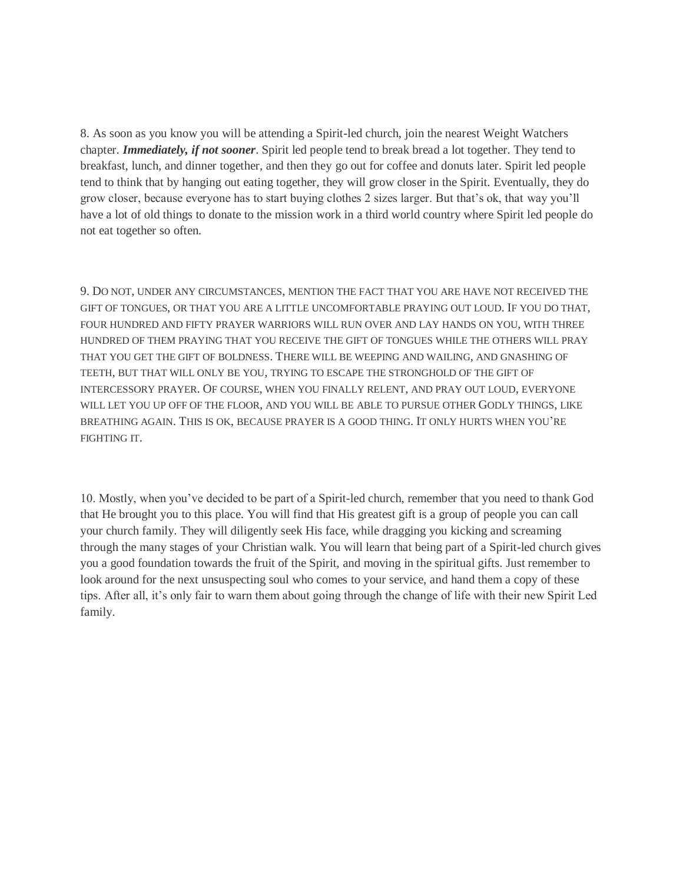8. As soon as you know you will be attending a Spirit-led church, join the nearest Weight Watchers chapter. *Immediately, if not sooner*. Spirit led people tend to break bread a lot together. They tend to breakfast, lunch, and dinner together, and then they go out for coffee and donuts later. Spirit led people tend to think that by hanging out eating together, they will grow closer in the Spirit. Eventually, they do grow closer, because everyone has to start buying clothes 2 sizes larger. But that's ok, that way you'll have a lot of old things to donate to the mission work in a third world country where Spirit led people do not eat together so often.

9. DO NOT, UNDER ANY CIRCUMSTANCES, MENTION THE FACT THAT YOU ARE HAVE NOT RECEIVED THE GIFT OF TONGUES, OR THAT YOU ARE A LITTLE UNCOMFORTABLE PRAYING OUT LOUD. IF YOU DO THAT, FOUR HUNDRED AND FIFTY PRAYER WARRIORS WILL RUN OVER AND LAY HANDS ON YOU, WITH THREE HUNDRED OF THEM PRAYING THAT YOU RECEIVE THE GIFT OF TONGUES WHILE THE OTHERS WILL PRAY THAT YOU GET THE GIFT OF BOLDNESS. THERE WILL BE WEEPING AND WAILING, AND GNASHING OF TEETH, BUT THAT WILL ONLY BE YOU, TRYING TO ESCAPE THE STRONGHOLD OF THE GIFT OF INTERCESSORY PRAYER. OF COURSE, WHEN YOU FINALLY RELENT, AND PRAY OUT LOUD, EVERYONE WILL LET YOU UP OFF OF THE FLOOR, AND YOU WILL BE ABLE TO PURSUE OTHER GODLY THINGS, LIKE BREATHING AGAIN. THIS IS OK, BECAUSE PRAYER IS A GOOD THING. IT ONLY HURTS WHEN YOU'RE FIGHTING IT.

10. Mostly, when you've decided to be part of a Spirit-led church, remember that you need to thank God that He brought you to this place. You will find that His greatest gift is a group of people you can call your church family. They will diligently seek His face, while dragging you kicking and screaming through the many stages of your Christian walk. You will learn that being part of a Spirit-led church gives you a good foundation towards the fruit of the Spirit, and moving in the spiritual gifts. Just remember to look around for the next unsuspecting soul who comes to your service, and hand them a copy of these tips. After all, it's only fair to warn them about going through the change of life with their new Spirit Led family.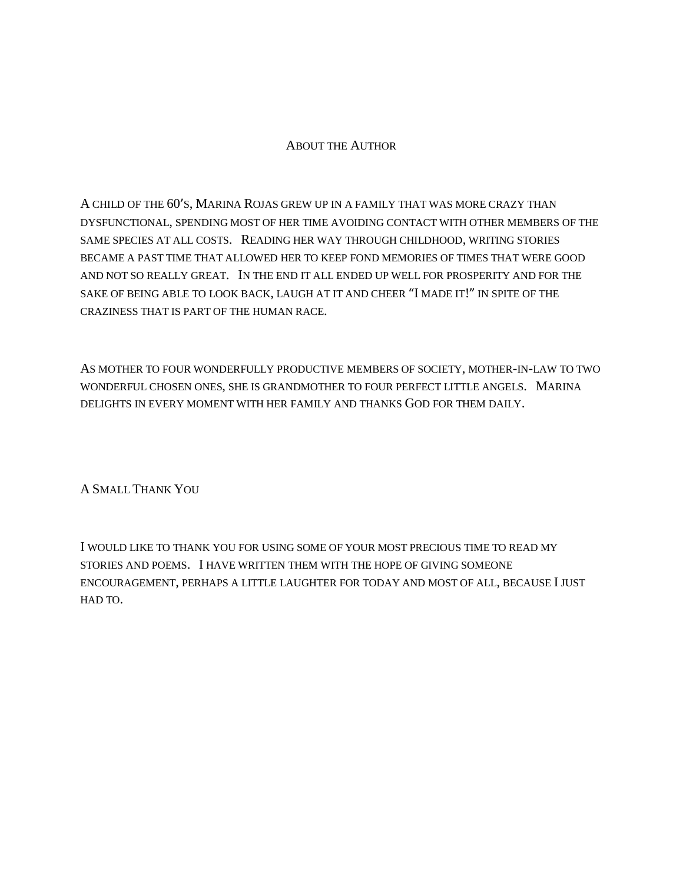## ABOUT THE AUTHOR

A CHILD OF THE 60'S, MARINA ROJAS GREW UP IN A FAMILY THAT WAS MORE CRAZY THAN DYSFUNCTIONAL, SPENDING MOST OF HER TIME AVOIDING CONTACT WITH OTHER MEMBERS OF THE SAME SPECIES AT ALL COSTS. READING HER WAY THROUGH CHILDHOOD, WRITING STORIES BECAME A PAST TIME THAT ALLOWED HER TO KEEP FOND MEMORIES OF TIMES THAT WERE GOOD AND NOT SO REALLY GREAT. IN THE END IT ALL ENDED UP WELL FOR PROSPERITY AND FOR THE SAKE OF BEING ABLE TO LOOK BACK, LAUGH AT IT AND CHEER "I MADE IT!" IN SPITE OF THE CRAZINESS THAT IS PART OF THE HUMAN RACE.

AS MOTHER TO FOUR WONDERFULLY PRODUCTIVE MEMBERS OF SOCIETY, MOTHER-IN-LAW TO TWO WONDERFUL CHOSEN ONES, SHE IS GRANDMOTHER TO FOUR PERFECT LITTLE ANGELS. MARINA DELIGHTS IN EVERY MOMENT WITH HER FAMILY AND THANKS GOD FOR THEM DAILY.

A SMALL THANK YOU

I WOULD LIKE TO THANK YOU FOR USING SOME OF YOUR MOST PRECIOUS TIME TO READ MY STORIES AND POEMS. I HAVE WRITTEN THEM WITH THE HOPE OF GIVING SOMEONE ENCOURAGEMENT, PERHAPS A LITTLE LAUGHTER FOR TODAY AND MOST OF ALL, BECAUSE I JUST HAD TO.